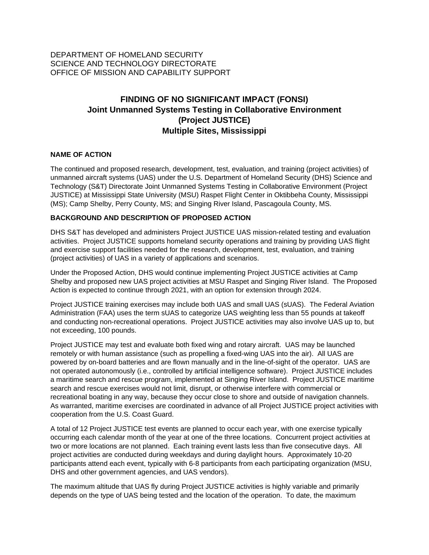# DEPARTMENT OF HOMELAND SECURITY SCIENCE AND TECHNOLOGY DIRECTORATE OFFICE OF MISSION AND CAPABILITY SUPPORT

# **FINDING OF NO SIGNIFICANT IMPACT (FONSI) Joint Unmanned Systems Testing in Collaborative Environment (Project JUSTICE) Multiple Sites, Mississippi**

#### **NAME OF ACTION**

The continued and proposed research, development, test, evaluation, and training (project activities) of unmanned aircraft systems (UAS) under the U.S. Department of Homeland Security (DHS) Science and Technology (S&T) Directorate Joint Unmanned Systems Testing in Collaborative Environment (Project JUSTICE) at Mississippi State University (MSU) Raspet Flight Center in Oktibbeha County, Mississippi (MS); Camp Shelby, Perry County, MS; and Singing River Island, Pascagoula County, MS.

#### **BACKGROUND AND DESCRIPTION OF PROPOSED ACTION**

DHS S&T has developed and administers Project JUSTICE UAS mission-related testing and evaluation activities. Project JUSTICE supports homeland security operations and training by providing UAS flight and exercise support facilities needed for the research, development, test, evaluation, and training (project activities) of UAS in a variety of applications and scenarios.

Under the Proposed Action, DHS would continue implementing Project JUSTICE activities at Camp Shelby and proposed new UAS project activities at MSU Raspet and Singing River Island. The Proposed Action is expected to continue through 2021, with an option for extension through 2024.

Project JUSTICE training exercises may include both UAS and small UAS (sUAS). The Federal Aviation Administration (FAA) uses the term sUAS to categorize UAS weighting less than 55 pounds at takeoff and conducting non-recreational operations. Project JUSTICE activities may also involve UAS up to, but not exceeding, 100 pounds.

Project JUSTICE may test and evaluate both fixed wing and rotary aircraft. UAS may be launched remotely or with human assistance (such as propelling a fixed-wing UAS into the air). All UAS are powered by on-board batteries and are flown manually and in the line-of-sight of the operator. UAS are not operated autonomously (i.e., controlled by artificial intelligence software). Project JUSTICE includes a maritime search and rescue program, implemented at Singing River Island. Project JUSTICE maritime search and rescue exercises would not limit, disrupt, or otherwise interfere with commercial or recreational boating in any way, because they occur close to shore and outside of navigation channels. As warranted, maritime exercises are coordinated in advance of all Project JUSTICE project activities with cooperation from the U.S. Coast Guard.

A total of 12 Project JUSTICE test events are planned to occur each year, with one exercise typically occurring each calendar month of the year at one of the three locations. Concurrent project activities at two or more locations are not planned. Each training event lasts less than five consecutive days. All project activities are conducted during weekdays and during daylight hours. Approximately 10-20 participants attend each event, typically with 6-8 participants from each participating organization (MSU, DHS and other government agencies, and UAS vendors).

The maximum altitude that UAS fly during Project JUSTICE activities is highly variable and primarily depends on the type of UAS being tested and the location of the operation. To date, the maximum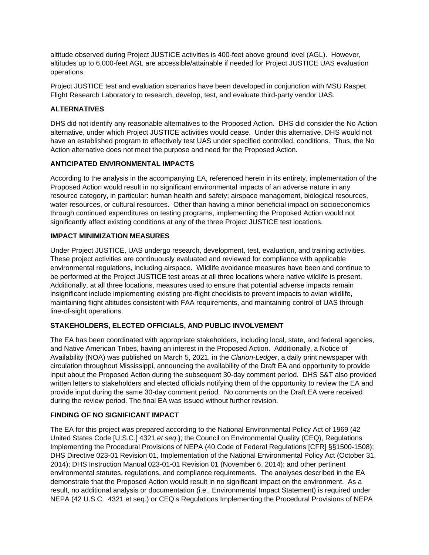altitude observed during Project JUSTICE activities is 400-feet above ground level (AGL). However, altitudes up to 6,000-feet AGL are accessible/attainable if needed for Project JUSTICE UAS evaluation operations.

Project JUSTICE test and evaluation scenarios have been developed in conjunction with MSU Raspet Flight Research Laboratory to research, develop, test, and evaluate third-party vendor UAS.

# **ALTERNATIVES**

DHS did not identify any reasonable alternatives to the Proposed Action. DHS did consider the No Action alternative, under which Project JUSTICE activities would cease. Under this alternative, DHS would not have an established program to effectively test UAS under specified controlled, conditions. Thus, the No Action alternative does not meet the purpose and need for the Proposed Action.

#### **ANTICIPATED ENVIRONMENTAL IMPACTS**

According to the analysis in the accompanying EA, referenced herein in its entirety, implementation of the Proposed Action would result in no significant environmental impacts of an adverse nature in any resource category, in particular: human health and safety; airspace management, biological resources, water resources, or cultural resources. Other than having a minor beneficial impact on socioeconomics through continued expenditures on testing programs, implementing the Proposed Action would not significantly affect existing conditions at any of the three Project JUSTICE test locations.

#### **IMPACT MINIMIZATION MEASURES**

Under Project JUSTICE, UAS undergo research, development, test, evaluation, and training activities. These project activities are continuously evaluated and reviewed for compliance with applicable environmental regulations, including airspace. Wildlife avoidance measures have been and continue to be performed at the Project JUSTICE test areas at all three locations where native wildlife is present. Additionally, at all three locations, measures used to ensure that potential adverse impacts remain insignificant include implementing existing pre-flight checklists to prevent impacts to avian wildlife, maintaining flight altitudes consistent with FAA requirements, and maintaining control of UAS through line-of-sight operations.

# **STAKEHOLDERS, ELECTED OFFICIALS, AND PUBLIC INVOLVEMENT**

The EA has been coordinated with appropriate stakeholders, including local, state, and federal agencies, and Native American Tribes, having an interest in the Proposed Action. Additionally, a Notice of Availability (NOA) was published on March 5, 2021, in the *Clarion-Ledger*, a daily print newspaper with circulation throughout Mississippi, announcing the availability of the Draft EA and opportunity to provide input about the Proposed Action during the subsequent 30-day comment period. DHS S&T also provided written letters to stakeholders and elected officials notifying them of the opportunity to review the EA and provide input during the same 30-day comment period. No comments on the Draft EA were received during the review period. The final EA was issued without further revision.

#### **FINDING OF NO SIGNIFICANT IMPACT**

The EA for this project was prepared according to the National Environmental Policy Act of 1969 (42 United States Code [U.S.C.] 4321 *et seq*.); the Council on Environmental Quality (CEQ), Regulations Implementing the Procedural Provisions of NEPA (40 Code of Federal Regulations [CFR] §§1500-1508); DHS Directive 023-01 Revision 01, Implementation of the National Environmental Policy Act (October 31, 2014); DHS Instruction Manual 023-01-01 Revision 01 (November 6, 2014); and other pertinent environmental statutes, regulations, and compliance requirements. The analyses described in the EA demonstrate that the Proposed Action would result in no significant impact on the environment. As a result, no additional analysis or documentation (i.e., Environmental Impact Statement) is required under NEPA (42 U.S.C. 4321 et seq.) or CEQ's Regulations Implementing the Procedural Provisions of NEPA